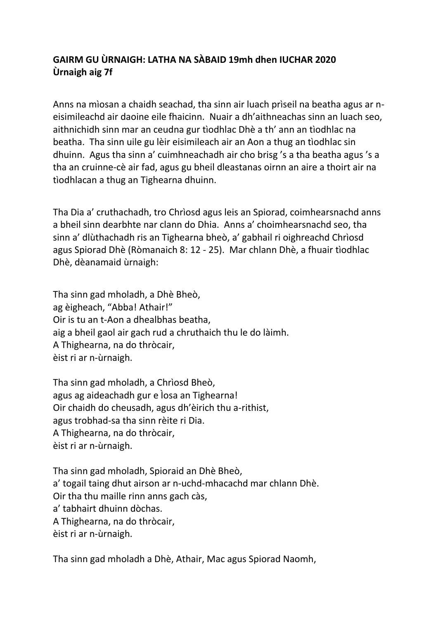## **GAIRM GU ÙRNAIGH: LATHA NA SÀBAID 19mh dhen IUCHAR 2020 Ùrnaigh aig 7f**

Anns na mìosan a chaidh seachad, tha sinn air luach prìseil na beatha agus ar neisimileachd air daoine eile fhaicinn. Nuair a dh'aithneachas sinn an luach seo, aithnichidh sinn mar an ceudna gur tìodhlac Dhè a th' ann an tìodhlac na beatha. Tha sinn uile gu lèir eisimileach air an Aon a thug an tìodhlac sin dhuinn. Agus tha sinn a' cuimhneachadh air cho brisg 's a tha beatha agus 's a tha an cruinne-cè air fad, agus gu bheil dleastanas oirnn an aire a thoirt air na tìodhlacan a thug an Tighearna dhuinn.

Tha Dia a' cruthachadh, tro Chrìosd agus leis an Spiorad, coimhearsnachd anns a bheil sinn dearbhte nar clann do Dhia. Anns a' choimhearsnachd seo, tha sinn a' dlùthachadh ris an Tighearna bheò, a' gabhail ri oighreachd Chrìosd agus Spiorad Dhè (Ròmanaich 8: 12 - 25). Mar chlann Dhè, a fhuair tìodhlac Dhè, dèanamaid ùrnaigh:

Tha sinn gad mholadh, a Dhè Bheò, ag èigheach, "Abba! Athair!" Oir is tu an t-Aon a dhealbhas beatha, aig a bheil gaol air gach rud a chruthaich thu le do làimh. A Thighearna, na do thròcair, èist ri ar n-ùrnaigh.

Tha sinn gad mholadh, a Chrìosd Bheò, agus ag aideachadh gur e Ìosa an Tighearna! Oir chaidh do cheusadh, agus dh'èirich thu a-rithist, agus trobhad-sa tha sinn rèite ri Dia. A Thighearna, na do thròcair, èist ri ar n-ùrnaigh.

Tha sinn gad mholadh, Spioraid an Dhè Bheò, a' togail taing dhut airson ar n-uchd-mhacachd mar chlann Dhè. Oir tha thu maille rinn anns gach càs, a' tabhairt dhuinn dòchas. A Thighearna, na do thròcair, èist ri ar n-ùrnaigh.

Tha sinn gad mholadh a Dhè, Athair, Mac agus Spiorad Naomh,